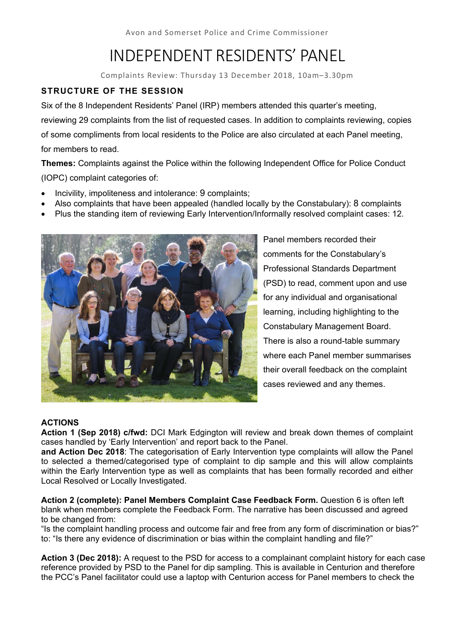# INDEPENDENT RESIDENTS' PANEL

Complaints Review: Thursday 13 December 2018, 10am–3.30pm

# **STRUCTURE OF THE SESSION**

Six of the 8 Independent Residents' Panel (IRP) members attended this quarter's meeting, reviewing 29 complaints from the list of requested cases. In addition to complaints reviewing, copies of some compliments from local residents to the Police are also circulated at each Panel meeting, for members to read.

**Themes:** Complaints against the Police within the following Independent Office for Police Conduct (IOPC) complaint categories of:

- Incivility, impoliteness and intolerance: 9 complaints;
- Also complaints that have been appealed (handled locally by the Constabulary): 8 complaints
- Plus the standing item of reviewing Early Intervention/Informally resolved complaint cases: 12.



Panel members recorded their comments for the Constabulary's Professional Standards Department (PSD) to read, comment upon and use for any individual and organisational learning, including highlighting to the Constabulary Management Board. There is also a round-table summary where each Panel member summarises their overall feedback on the complaint cases reviewed and any themes.

# **ACTIONS**

**Action 1 (Sep 2018) c/fwd:** DCI Mark Edgington will review and break down themes of complaint cases handled by 'Early Intervention' and report back to the Panel.

**and Action Dec 2018**: The categorisation of Early Intervention type complaints will allow the Panel to selected a themed/categorised type of complaint to dip sample and this will allow complaints within the Early Intervention type as well as complaints that has been formally recorded and either Local Resolved or Locally Investigated.

**Action 2 (complete): Panel Members Complaint Case Feedback Form.** Question 6 is often left blank when members complete the Feedback Form. The narrative has been discussed and agreed to be changed from:

"Is the complaint handling process and outcome fair and free from any form of discrimination or bias?" to: "Is there any evidence of discrimination or bias within the complaint handling and file?"

**Action 3 (Dec 2018):** A request to the PSD for access to a complainant complaint history for each case reference provided by PSD to the Panel for dip sampling. This is available in Centurion and therefore the PCC's Panel facilitator could use a laptop with Centurion access for Panel members to check the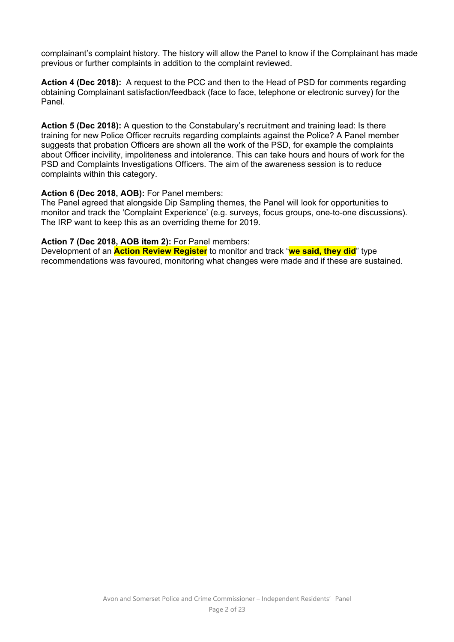complainant's complaint history. The history will allow the Panel to know if the Complainant has made previous or further complaints in addition to the complaint reviewed.

**Action 4 (Dec 2018):** A request to the PCC and then to the Head of PSD for comments regarding obtaining Complainant satisfaction/feedback (face to face, telephone or electronic survey) for the Panel.

**Action 5 (Dec 2018):** A question to the Constabulary's recruitment and training lead: Is there training for new Police Officer recruits regarding complaints against the Police? A Panel member suggests that probation Officers are shown all the work of the PSD, for example the complaints about Officer incivility, impoliteness and intolerance. This can take hours and hours of work for the PSD and Complaints Investigations Officers. The aim of the awareness session is to reduce complaints within this category.

## **Action 6 (Dec 2018, AOB):** For Panel members:

The Panel agreed that alongside Dip Sampling themes, the Panel will look for opportunities to monitor and track the 'Complaint Experience' (e.g. surveys, focus groups, one-to-one discussions). The IRP want to keep this as an overriding theme for 2019.

#### **Action 7 (Dec 2018, AOB item 2):** For Panel members:

Development of an **Action Review Register** to monitor and track "**we said, they did**" type recommendations was favoured, monitoring what changes were made and if these are sustained.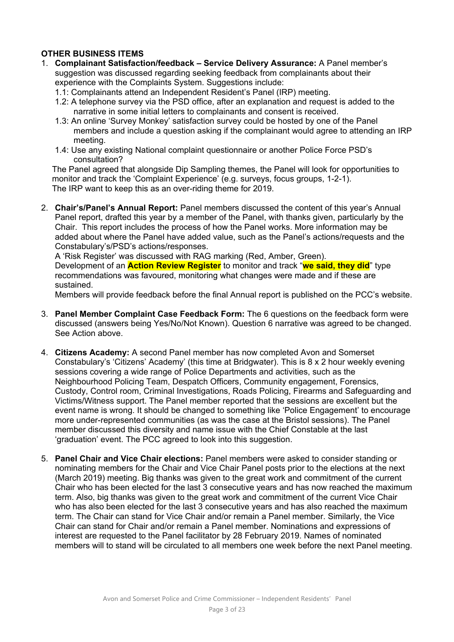# **OTHER BUSINESS ITEMS**

- 1. **Complainant Satisfaction/feedback Service Delivery Assurance:** A Panel member's suggestion was discussed regarding seeking feedback from complainants about their experience with the Complaints System. Suggestions include:
	- 1.1: Complainants attend an Independent Resident's Panel (IRP) meeting.
	- 1.2: A telephone survey via the PSD office, after an explanation and request is added to the narrative in some initial letters to complainants and consent is received.
	- 1.3: An online 'Survey Monkey' satisfaction survey could be hosted by one of the Panel members and include a question asking if the complainant would agree to attending an IRP meeting.
	- 1.4: Use any existing National complaint questionnaire or another Police Force PSD's consultation?

The Panel agreed that alongside Dip Sampling themes, the Panel will look for opportunities to monitor and track the 'Complaint Experience' (e.g. surveys, focus groups, 1-2-1). The IRP want to keep this as an over-riding theme for 2019.

2. **Chair's/Panel's Annual Report:** Panel members discussed the content of this year's Annual Panel report, drafted this year by a member of the Panel, with thanks given, particularly by the Chair. This report includes the process of how the Panel works. More information may be added about where the Panel have added value, such as the Panel's actions/requests and the Constabulary's/PSD's actions/responses.

A 'Risk Register' was discussed with RAG marking (Red, Amber, Green).

Development of an **Action Review Register** to monitor and track "**we said, they did**" type recommendations was favoured, monitoring what changes were made and if these are sustained.

Members will provide feedback before the final Annual report is published on the PCC's website.

- 3. **Panel Member Complaint Case Feedback Form:** The 6 questions on the feedback form were discussed (answers being Yes/No/Not Known). Question 6 narrative was agreed to be changed. See Action above.
- 4. **Citizens Academy:** A second Panel member has now completed Avon and Somerset Constabulary's 'Citizens' Academy' (this time at Bridgwater). This is 8 x 2 hour weekly evening sessions covering a wide range of Police Departments and activities, such as the Neighbourhood Policing Team, Despatch Officers, Community engagement, Forensics, Custody, Control room, Criminal Investigations, Roads Policing, Firearms and Safeguarding and Victims/Witness support. The Panel member reported that the sessions are excellent but the event name is wrong. It should be changed to something like 'Police Engagement' to encourage more under-represented communities (as was the case at the Bristol sessions). The Panel member discussed this diversity and name issue with the Chief Constable at the last 'graduation' event. The PCC agreed to look into this suggestion.
- 5. **Panel Chair and Vice Chair elections:** Panel members were asked to consider standing or nominating members for the Chair and Vice Chair Panel posts prior to the elections at the next (March 2019) meeting. Big thanks was given to the great work and commitment of the current Chair who has been elected for the last 3 consecutive years and has now reached the maximum term. Also, big thanks was given to the great work and commitment of the current Vice Chair who has also been elected for the last 3 consecutive years and has also reached the maximum term. The Chair can stand for Vice Chair and/or remain a Panel member. Similarly, the Vice Chair can stand for Chair and/or remain a Panel member. Nominations and expressions of interest are requested to the Panel facilitator by 28 February 2019. Names of nominated members will to stand will be circulated to all members one week before the next Panel meeting.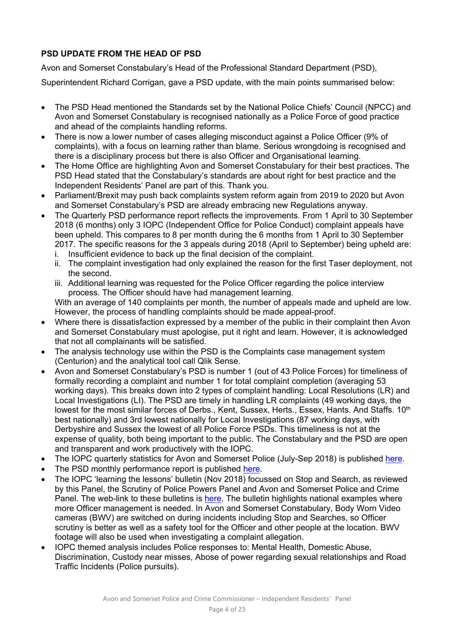# **PSD UPDATE FROM THE HEAD OF PSD**

Avon and Somerset Constabulary's Head of the Professional Standard Department (PSD),

Superintendent Richard Corrigan, gave a PSD update, with the main points summarised below:

- The PSD Head mentioned the Standards set by the National Police Chiefs' Council (NPCC) and Avon and Somerset Constabulary is recognised nationally as a Police Force of good practice and ahead of the complaints handling reforms.
- There is now a lower number of cases alleging misconduct against a Police Officer (9% of complaints), with a focus on learning rather than blame. Serious wrongdoing is recognised and there is a disciplinary process but there is also Officer and Organisational learning.
- The Home Office are highlighting Avon and Somerset Constabulary for their best practices. The PSD Head stated that the Constabulary's standards are about right for best practice and the Independent Residents' Panel are part of this. Thank you.
- Parliament/Brexit may push back complaints system reform again from 2019 to 2020 but Avon and Somerset Constabulary's PSD are already embracing new Regulations anyway.
- The Quarterly PSD performance report reflects the improvements. From 1 April to 30 September 2018 (6 months) only 3 IOPC (Independent Office for Police Conduct) complaint appeals have been upheld. This compares to 8 per month during the 6 months from 1 April to 30 September 2017. The specific reasons for the 3 appeals during 2018 (April to September) being upheld are:
	- i. Insufficient evidence to back up the final decision of the complaint.
	- ii. The complaint investigation had only explained the reason for the first Taser deployment, not the second.
	- iii. Additional learning was requested for the Police Officer regarding the police interview process. The Officer should have had management learning.

With an average of 140 complaints per month, the number of appeals made and upheld are low. However, the process of handling complaints should be made appeal-proof.

- Where there is dissatisfaction expressed by a member of the public in their complaint then Avon and Somerset Constabulary must apologise, put it right and learn. However, it is acknowledged that not all complainants will be satisfied.
- The analysis technology use within the PSD is the Complaints case management system (Centurion) and the analytical tool call Qlik Sense.
- Avon and Somerset Constabulary's PSD is number 1 (out of 43 Police Forces) for timeliness of formally recording a complaint and number 1 for total complaint completion (averaging 53 working days). This breaks down into 2 types of complaint handling: Local Resolutions (LR) and Local Investigations (LI). The PSD are timely in handling LR complaints (49 working days, the lowest for the most similar forces of Derbs., Kent, Sussex, Herts., Essex, Hants. And Staffs. 10<sup>th</sup> best nationally) and 3rd lowest nationally for Local Investigations (87 working days, with Derbyshire and Sussex the lowest of all Police Force PSDs. This timeliness is not at the expense of quality, both being important to the public. The Constabulary and the PSD are open and transparent and work productively with the IOPC.
- The IOPC quarterly statistics for Avon and Somerset Police (July-Sep 2018) is published here.
- The PSD monthly performance report is published here.
- The IOPC 'learning the lessons' bulletin (Nov 2018) focussed on Stop and Search, as reviewed by this Panel, the Scrutiny of Police Powers Panel and Avon and Somerset Police and Crime Panel. The web-link to these bulletins is here. The bulletin highlights national examples where more Officer management is needed. In Avon and Somerset Constabulary, Body Worn Video cameras (BWV) are switched on during incidents including Stop and Searches, so Officer scrutiny is better as well as a safety tool for the Officer and other people at the location. BWV footage will also be used when investigating a complaint allegation.
- IOPC themed analysis includes Police responses to: Mental Health, Domestic Abuse, Discrimination, Custody near misses, Abose of power regarding sexual relationships and Road Traffic Incidents (Police pursuits).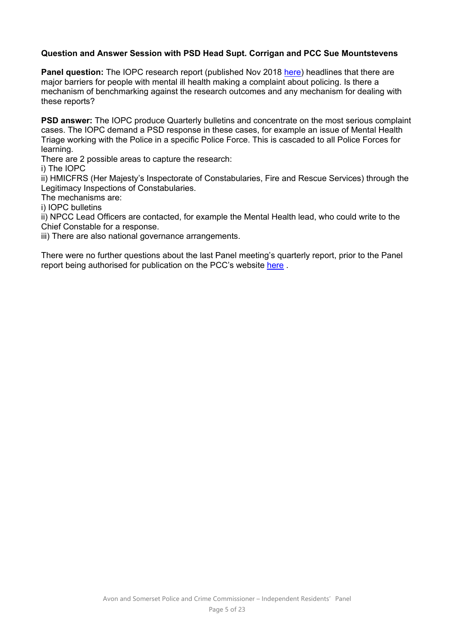# **Question and Answer Session with PSD Head Supt. Corrigan and PCC Sue Mountstevens**

**Panel question:** The IOPC research report (published Nov 2018 here) headlines that there are major barriers for people with mental ill health making a complaint about policing. Is there a mechanism of benchmarking against the research outcomes and any mechanism for dealing with these reports?

**PSD answer:** The IOPC produce Quarterly bulletins and concentrate on the most serious complaint cases. The IOPC demand a PSD response in these cases, for example an issue of Mental Health Triage working with the Police in a specific Police Force. This is cascaded to all Police Forces for learning.

There are 2 possible areas to capture the research:

i) The IOPC

ii) HMICFRS (Her Majesty's Inspectorate of Constabularies, Fire and Rescue Services) through the Legitimacy Inspections of Constabularies.

The mechanisms are:

i) IOPC bulletins

ii) NPCC Lead Officers are contacted, for example the Mental Health lead, who could write to the Chief Constable for a response.

iii) There are also national governance arrangements.

There were no further questions about the last Panel meeting's quarterly report, prior to the Panel report being authorised for publication on the PCC's website here .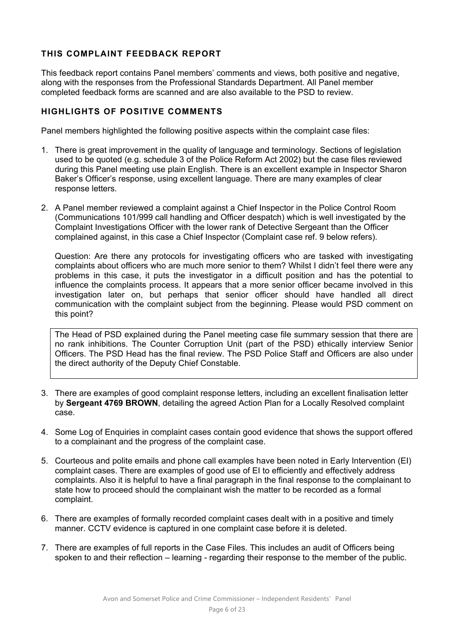# **THIS COMPLAINT FEEDBACK REPORT**

This feedback report contains Panel members' comments and views, both positive and negative, along with the responses from the Professional Standards Department. All Panel member completed feedback forms are scanned and are also available to the PSD to review.

# **HIGHLIGHTS OF POSITIVE COMMENTS**

Panel members highlighted the following positive aspects within the complaint case files:

- 1. There is great improvement in the quality of language and terminology. Sections of legislation used to be quoted (e.g. schedule 3 of the Police Reform Act 2002) but the case files reviewed during this Panel meeting use plain English. There is an excellent example in Inspector Sharon Baker's Officer's response, using excellent language. There are many examples of clear response letters.
- 2. A Panel member reviewed a complaint against a Chief Inspector in the Police Control Room (Communications 101/999 call handling and Officer despatch) which is well investigated by the Complaint Investigations Officer with the lower rank of Detective Sergeant than the Officer complained against, in this case a Chief Inspector (Complaint case ref. 9 below refers).

Question: Are there any protocols for investigating officers who are tasked with investigating complaints about officers who are much more senior to them? Whilst I didn't feel there were any problems in this case, it puts the investigator in a difficult position and has the potential to influence the complaints process. It appears that a more senior officer became involved in this investigation later on, but perhaps that senior officer should have handled all direct communication with the complaint subject from the beginning. Please would PSD comment on this point?

The Head of PSD explained during the Panel meeting case file summary session that there are no rank inhibitions. The Counter Corruption Unit (part of the PSD) ethically interview Senior Officers. The PSD Head has the final review. The PSD Police Staff and Officers are also under the direct authority of the Deputy Chief Constable.

- 3. There are examples of good complaint response letters, including an excellent finalisation letter by **Sergeant 4769 BROWN**, detailing the agreed Action Plan for a Locally Resolved complaint case.
- 4. Some Log of Enquiries in complaint cases contain good evidence that shows the support offered to a complainant and the progress of the complaint case.
- 5. Courteous and polite emails and phone call examples have been noted in Early Intervention (EI) complaint cases. There are examples of good use of EI to efficiently and effectively address complaints. Also it is helpful to have a final paragraph in the final response to the complainant to state how to proceed should the complainant wish the matter to be recorded as a formal complaint.
- 6. There are examples of formally recorded complaint cases dealt with in a positive and timely manner. CCTV evidence is captured in one complaint case before it is deleted.
- 7. There are examples of full reports in the Case Files. This includes an audit of Officers being spoken to and their reflection – learning - regarding their response to the member of the public.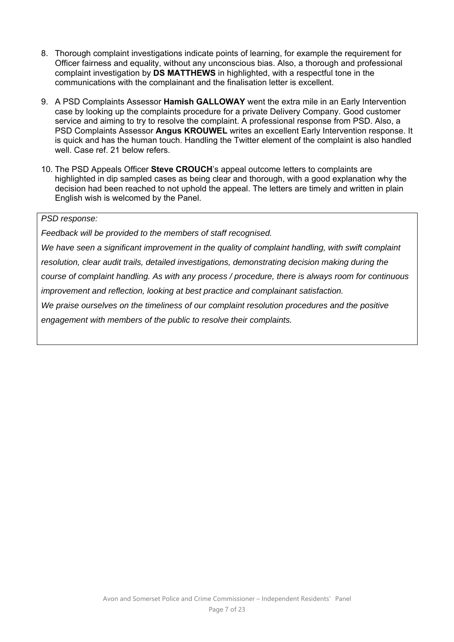- 8. Thorough complaint investigations indicate points of learning, for example the requirement for Officer fairness and equality, without any unconscious bias. Also, a thorough and professional complaint investigation by **DS MATTHEWS** in highlighted, with a respectful tone in the communications with the complainant and the finalisation letter is excellent.
- 9. A PSD Complaints Assessor **Hamish GALLOWAY** went the extra mile in an Early Intervention case by looking up the complaints procedure for a private Delivery Company. Good customer service and aiming to try to resolve the complaint. A professional response from PSD. Also, a PSD Complaints Assessor **Angus KROUWEL** writes an excellent Early Intervention response. It is quick and has the human touch. Handling the Twitter element of the complaint is also handled well. Case ref. 21 below refers.
- 10. The PSD Appeals Officer **Steve CROUCH**'s appeal outcome letters to complaints are highlighted in dip sampled cases as being clear and thorough, with a good explanation why the decision had been reached to not uphold the appeal. The letters are timely and written in plain English wish is welcomed by the Panel.

# *PSD response:*

*Feedback will be provided to the members of staff recognised.* 

*We have seen a significant improvement in the quality of complaint handling, with swift complaint* 

*resolution, clear audit trails, detailed investigations, demonstrating decision making during the* 

*course of complaint handling. As with any process / procedure, there is always room for continuous improvement and reflection, looking at best practice and complainant satisfaction.* 

*We praise ourselves on the timeliness of our complaint resolution procedures and the positive engagement with members of the public to resolve their complaints.*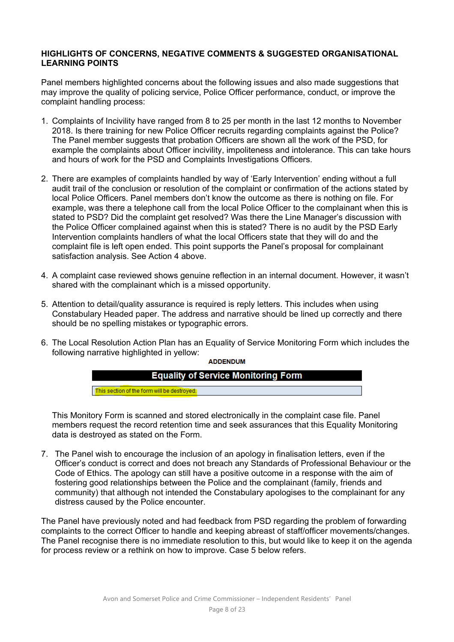# **HIGHLIGHTS OF CONCERNS, NEGATIVE COMMENTS & SUGGESTED ORGANISATIONAL LEARNING POINTS**

Panel members highlighted concerns about the following issues and also made suggestions that may improve the quality of policing service, Police Officer performance, conduct, or improve the complaint handling process:

- 1. Complaints of Incivility have ranged from 8 to 25 per month in the last 12 months to November 2018. Is there training for new Police Officer recruits regarding complaints against the Police? The Panel member suggests that probation Officers are shown all the work of the PSD, for example the complaints about Officer incivility, impoliteness and intolerance. This can take hours and hours of work for the PSD and Complaints Investigations Officers.
- 2. There are examples of complaints handled by way of 'Early Intervention' ending without a full audit trail of the conclusion or resolution of the complaint or confirmation of the actions stated by local Police Officers. Panel members don't know the outcome as there is nothing on file. For example, was there a telephone call from the local Police Officer to the complainant when this is stated to PSD? Did the complaint get resolved? Was there the Line Manager's discussion with the Police Officer complained against when this is stated? There is no audit by the PSD Early Intervention complaints handlers of what the local Officers state that they will do and the complaint file is left open ended. This point supports the Panel's proposal for complainant satisfaction analysis. See Action 4 above.
- 4. A complaint case reviewed shows genuine reflection in an internal document. However, it wasn't shared with the complainant which is a missed opportunity.
- 5. Attention to detail/quality assurance is required is reply letters. This includes when using Constabulary Headed paper. The address and narrative should be lined up correctly and there should be no spelling mistakes or typographic errors.
- 6. The Local Resolution Action Plan has an Equality of Service Monitoring Form which includes the following narrative highlighted in yellow:

**ADDENDUM** 



This Monitory Form is scanned and stored electronically in the complaint case file. Panel members request the record retention time and seek assurances that this Equality Monitoring data is destroyed as stated on the Form.

7. The Panel wish to encourage the inclusion of an apology in finalisation letters, even if the Officer's conduct is correct and does not breach any Standards of Professional Behaviour or the Code of Ethics. The apology can still have a positive outcome in a response with the aim of fostering good relationships between the Police and the complainant (family, friends and community) that although not intended the Constabulary apologises to the complainant for any distress caused by the Police encounter.

The Panel have previously noted and had feedback from PSD regarding the problem of forwarding complaints to the correct Officer to handle and keeping abreast of staff/officer movements/changes. The Panel recognise there is no immediate resolution to this, but would like to keep it on the agenda for process review or a rethink on how to improve. Case 5 below refers.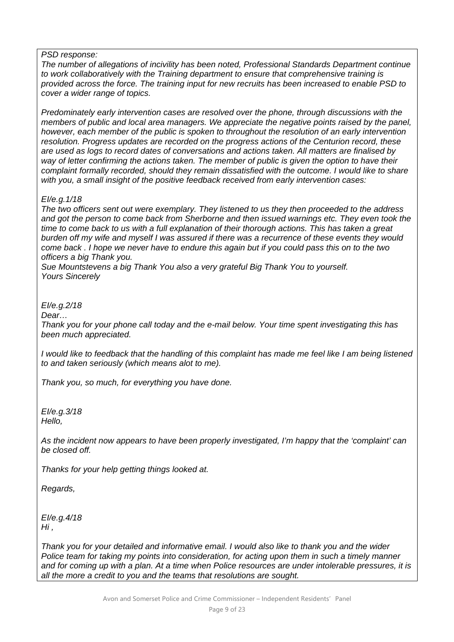#### *PSD response:*

*The number of allegations of incivility has been noted, Professional Standards Department continue to work collaboratively with the Training department to ensure that comprehensive training is provided across the force. The training input for new recruits has been increased to enable PSD to cover a wider range of topics.* 

*Predominately early intervention cases are resolved over the phone, through discussions with the members of public and local area managers. We appreciate the negative points raised by the panel, however, each member of the public is spoken to throughout the resolution of an early intervention resolution. Progress updates are recorded on the progress actions of the Centurion record, these are used as logs to record dates of conversations and actions taken. All matters are finalised by way of letter confirming the actions taken. The member of public is given the option to have their complaint formally recorded, should they remain dissatisfied with the outcome. I would like to share with you, a small insight of the positive feedback received from early intervention cases:* 

#### *EI/e.g.1/18*

*The two officers sent out were exemplary. They listened to us they then proceeded to the address and got the person to come back from Sherborne and then issued warnings etc. They even took the time to come back to us with a full explanation of their thorough actions. This has taken a great burden off my wife and myself I was assured if there was a recurrence of these events they would come back . I hope we never have to endure this again but if you could pass this on to the two officers a big Thank you.* 

*Sue Mountstevens a big Thank You also a very grateful Big Thank You to yourself. Yours Sincerely* 

#### *EI/e.g.2/18*

*Dear…* 

*Thank you for your phone call today and the e-mail below. Your time spent investigating this has been much appreciated.* 

*I* would like to feedback that the handling of this complaint has made me feel like I am being listened *to and taken seriously (which means alot to me).* 

*Thank you, so much, for everything you have done.* 

*EI/e.g.3/18 Hello,* 

*As the incident now appears to have been properly investigated, I'm happy that the 'complaint' can be closed off.* 

*Thanks for your help getting things looked at.* 

*Regards,* 

*EI/e.g.4/18 Hi ,* 

*Thank you for your detailed and informative email. I would also like to thank you and the wider Police team for taking my points into consideration, for acting upon them in such a timely manner and for coming up with a plan. At a time when Police resources are under intolerable pressures, it is all the more a credit to you and the teams that resolutions are sought.*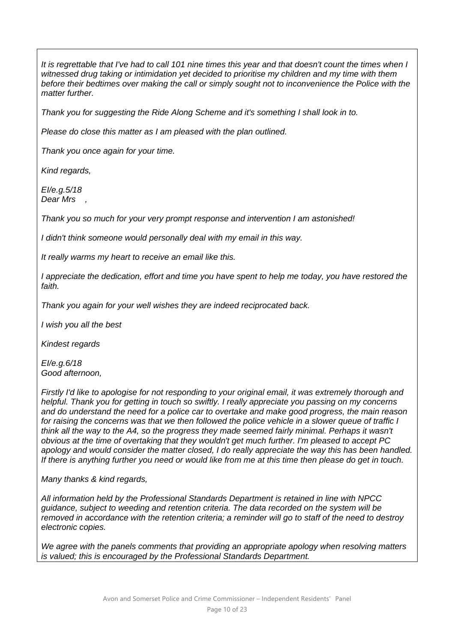*It is regrettable that I've had to call 101 nine times this year and that doesn't count the times when I witnessed drug taking or intimidation yet decided to prioritise my children and my time with them before their bedtimes over making the call or simply sought not to inconvenience the Police with the matter further.* 

*Thank you for suggesting the Ride Along Scheme and it's something I shall look in to.* 

*Please do close this matter as I am pleased with the plan outlined.* 

*Thank you once again for your time.* 

*Kind regards,* 

*EI/e.g.5/18 Dear Mrs ,* 

*Thank you so much for your very prompt response and intervention I am astonished!* 

*I didn't think someone would personally deal with my email in this way.* 

*It really warms my heart to receive an email like this.* 

*I appreciate the dedication, effort and time you have spent to help me today, you have restored the faith.* 

*Thank you again for your well wishes they are indeed reciprocated back.* 

*I wish you all the best* 

*Kindest regards* 

*EI/e.g.6/18 Good afternoon,* 

*Firstly I'd like to apologise for not responding to your original email, it was extremely thorough and helpful. Thank you for getting in touch so swiftly. I really appreciate you passing on my concerns and do understand the need for a police car to overtake and make good progress, the main reason for raising the concerns was that we then followed the police vehicle in a slower queue of traffic I think all the way to the A4, so the progress they made seemed fairly minimal. Perhaps it wasn't obvious at the time of overtaking that they wouldn't get much further. I'm pleased to accept PC apology and would consider the matter closed, I do really appreciate the way this has been handled. If there is anything further you need or would like from me at this time then please do get in touch.* 

*Many thanks & kind regards,* 

*All information held by the Professional Standards Department is retained in line with NPCC guidance, subject to weeding and retention criteria. The data recorded on the system will be removed in accordance with the retention criteria; a reminder will go to staff of the need to destroy electronic copies.* 

*We agree with the panels comments that providing an appropriate apology when resolving matters is valued; this is encouraged by the Professional Standards Department.*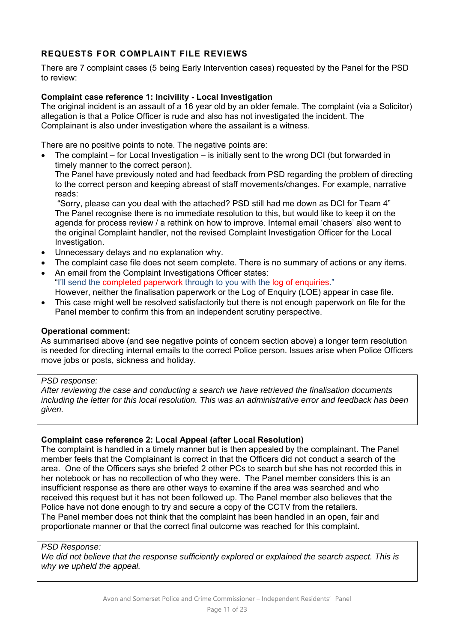# **REQUESTS FOR COMPLAINT FILE REVIEWS**

There are 7 complaint cases (5 being Early Intervention cases) requested by the Panel for the PSD to review:

# **Complaint case reference 1: Incivility - Local Investigation**

The original incident is an assault of a 16 year old by an older female. The complaint (via a Solicitor) allegation is that a Police Officer is rude and also has not investigated the incident. The Complainant is also under investigation where the assailant is a witness.

There are no positive points to note. The negative points are:

 The complaint – for Local Investigation – is initially sent to the wrong DCI (but forwarded in timely manner to the correct person).

The Panel have previously noted and had feedback from PSD regarding the problem of directing to the correct person and keeping abreast of staff movements/changes. For example, narrative reads:

"Sorry, please can you deal with the attached? PSD still had me down as DCI for Team 4" The Panel recognise there is no immediate resolution to this, but would like to keep it on the agenda for process review / a rethink on how to improve. Internal email 'chasers' also went to the original Complaint handler, not the revised Complaint Investigation Officer for the Local Investigation.

- Unnecessary delays and no explanation why.
- The complaint case file does not seem complete. There is no summary of actions or any items.
- An email from the Complaint Investigations Officer states: "I'll send the completed paperwork through to you with the log of enquiries." However, neither the finalisation paperwork or the Log of Enquiry (LOE) appear in case file.
- This case might well be resolved satisfactorily but there is not enough paperwork on file for the Panel member to confirm this from an independent scrutiny perspective.

#### **Operational comment:**

As summarised above (and see negative points of concern section above) a longer term resolution is needed for directing internal emails to the correct Police person. Issues arise when Police Officers move jobs or posts, sickness and holiday.

#### *PSD response:*

*After reviewing the case and conducting a search we have retrieved the finalisation documents including the letter for this local resolution. This was an administrative error and feedback has been given.* 

#### **Complaint case reference 2: Local Appeal (after Local Resolution)**

The complaint is handled in a timely manner but is then appealed by the complainant. The Panel member feels that the Complainant is correct in that the Officers did not conduct a search of the area. One of the Officers says she briefed 2 other PCs to search but she has not recorded this in her notebook or has no recollection of who they were. The Panel member considers this is an insufficient response as there are other ways to examine if the area was searched and who received this request but it has not been followed up. The Panel member also believes that the Police have not done enough to try and secure a copy of the CCTV from the retailers. The Panel member does not think that the complaint has been handled in an open, fair and proportionate manner or that the correct final outcome was reached for this complaint.

#### *PSD Response:*

*We did not believe that the response sufficiently explored or explained the search aspect. This is why we upheld the appeal.*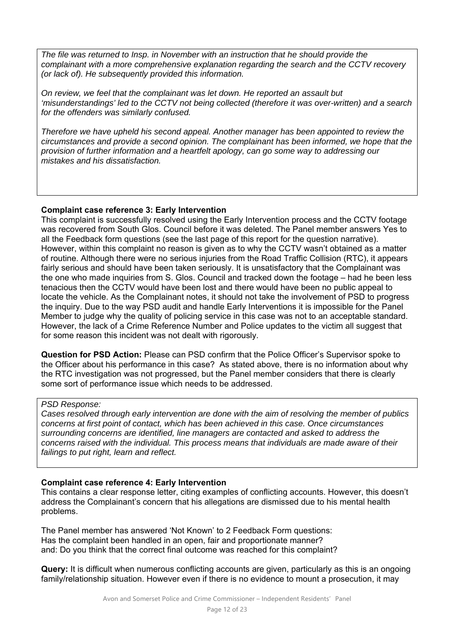*The file was returned to Insp. in November with an instruction that he should provide the complainant with a more comprehensive explanation regarding the search and the CCTV recovery (or lack of). He subsequently provided this information.* 

*On review, we feel that the complainant was let down. He reported an assault but 'misunderstandings' led to the CCTV not being collected (therefore it was over-written) and a search for the offenders was similarly confused.* 

*Therefore we have upheld his second appeal. Another manager has been appointed to review the circumstances and provide a second opinion. The complainant has been informed, we hope that the provision of further information and a heartfelt apology, can go some way to addressing our mistakes and his dissatisfaction.* 

#### **Complaint case reference 3: Early Intervention**

This complaint is successfully resolved using the Early Intervention process and the CCTV footage was recovered from South Glos. Council before it was deleted. The Panel member answers Yes to all the Feedback form questions (see the last page of this report for the question narrative). However, within this complaint no reason is given as to why the CCTV wasn't obtained as a matter of routine. Although there were no serious injuries from the Road Traffic Collision (RTC), it appears fairly serious and should have been taken seriously. It is unsatisfactory that the Complainant was the one who made inquiries from S. Glos. Council and tracked down the footage – had he been less tenacious then the CCTV would have been lost and there would have been no public appeal to locate the vehicle. As the Complainant notes, it should not take the involvement of PSD to progress the inquiry. Due to the way PSD audit and handle Early Interventions it is impossible for the Panel Member to judge why the quality of policing service in this case was not to an acceptable standard. However, the lack of a Crime Reference Number and Police updates to the victim all suggest that for some reason this incident was not dealt with rigorously.

**Question for PSD Action:** Please can PSD confirm that the Police Officer's Supervisor spoke to the Officer about his performance in this case? As stated above, there is no information about why the RTC investigation was not progressed, but the Panel member considers that there is clearly some sort of performance issue which needs to be addressed.

#### *PSD Response:*

*Cases resolved through early intervention are done with the aim of resolving the member of publics concerns at first point of contact, which has been achieved in this case. Once circumstances surrounding concerns are identified, line managers are contacted and asked to address the concerns raised with the individual. This process means that individuals are made aware of their failings to put right, learn and reflect.* 

## **Complaint case reference 4: Early Intervention**

This contains a clear response letter, citing examples of conflicting accounts. However, this doesn't address the Complainant's concern that his allegations are dismissed due to his mental health problems.

The Panel member has answered 'Not Known' to 2 Feedback Form questions: Has the complaint been handled in an open, fair and proportionate manner? and: Do you think that the correct final outcome was reached for this complaint?

**Query:** It is difficult when numerous conflicting accounts are given, particularly as this is an ongoing family/relationship situation. However even if there is no evidence to mount a prosecution, it may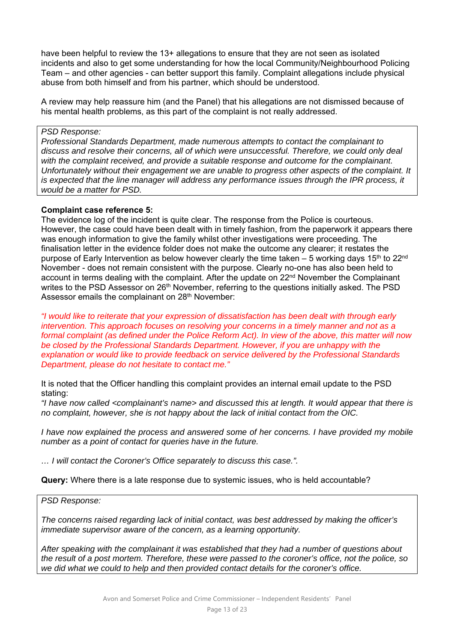have been helpful to review the 13+ allegations to ensure that they are not seen as isolated incidents and also to get some understanding for how the local Community/Neighbourhood Policing Team – and other agencies - can better support this family. Complaint allegations include physical abuse from both himself and from his partner, which should be understood.

A review may help reassure him (and the Panel) that his allegations are not dismissed because of his mental health problems, as this part of the complaint is not really addressed.

#### *PSD Response:*

*Professional Standards Department, made numerous attempts to contact the complainant to discuss and resolve their concerns, all of which were unsuccessful. Therefore, we could only deal with the complaint received, and provide a suitable response and outcome for the complainant. Unfortunately without their engagement we are unable to progress other aspects of the complaint. It is expected that the line manager will address any performance issues through the IPR process, it would be a matter for PSD.* 

#### **Complaint case reference 5:**

The evidence log of the incident is quite clear. The response from the Police is courteous. However, the case could have been dealt with in timely fashion, from the paperwork it appears there was enough information to give the family whilst other investigations were proceeding. The finalisation letter in the evidence folder does not make the outcome any clearer; it restates the purpose of Early Intervention as below however clearly the time taken  $-5$  working days 15<sup>th</sup> to 22<sup>nd</sup> November - does not remain consistent with the purpose. Clearly no-one has also been held to account in terms dealing with the complaint. After the update on  $22<sup>nd</sup>$  November the Complainant writes to the PSD Assessor on 26<sup>th</sup> November, referring to the questions initially asked. The PSD Assessor emails the complainant on 28<sup>th</sup> November:

*"I would like to reiterate that your expression of dissatisfaction has been dealt with through early intervention. This approach focuses on resolving your concerns in a timely manner and not as a formal complaint (as defined under the Police Reform Act). In view of the above, this matter will now be closed by the Professional Standards Department. However, if you are unhappy with the explanation or would like to provide feedback on service delivered by the Professional Standards Department, please do not hesitate to contact me."* 

It is noted that the Officer handling this complaint provides an internal email update to the PSD stating:

*"I have now called <complainant's name> and discussed this at length. It would appear that there is no complaint, however, she is not happy about the lack of initial contact from the OIC.* 

*I have now explained the process and answered some of her concerns. I have provided my mobile number as a point of contact for queries have in the future.* 

*… I will contact the Coroner's Office separately to discuss this case.".* 

**Query:** Where there is a late response due to systemic issues, who is held accountable?

#### *PSD Response:*

*The concerns raised regarding lack of initial contact, was best addressed by making the officer's immediate supervisor aware of the concern, as a learning opportunity.* 

*After speaking with the complainant it was established that they had a number of questions about the result of a post mortem. Therefore, these were passed to the coroner's office, not the police, so we did what we could to help and then provided contact details for the coroner's office.*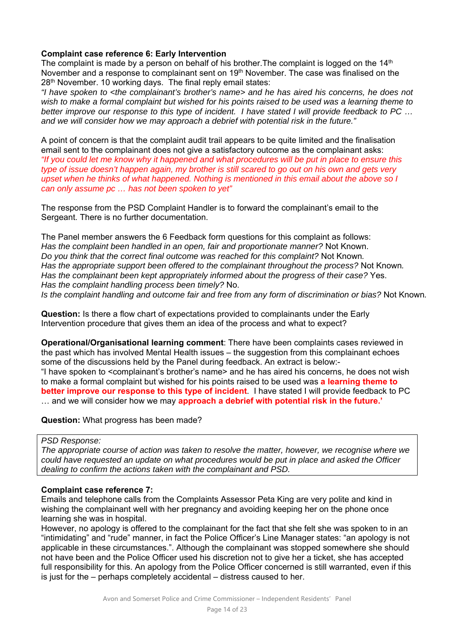# **Complaint case reference 6: Early Intervention**

The complaint is made by a person on behalf of his brother. The complaint is logged on the  $14<sup>th</sup>$ November and a response to complainant sent on 19th November. The case was finalised on the 28<sup>th</sup> November. 10 working days. The final reply email states:

*"I have spoken to <the complainant's brother's name> and he has aired his concerns, he does not wish to make a formal complaint but wished for his points raised to be used was a learning theme to better improve our response to this type of incident. I have stated I will provide feedback to PC … and we will consider how we may approach a debrief with potential risk in the future."* 

A point of concern is that the complaint audit trail appears to be quite limited and the finalisation email sent to the complainant does not give a satisfactory outcome as the complainant asks: *"If you could let me know why it happened and what procedures will be put in place to ensure this type of issue doesn't happen again, my brother is still scared to go out on his own and gets very upset when he thinks of what happened. Nothing is mentioned in this email about the above so I can only assume pc … has not been spoken to yet"* 

The response from the PSD Complaint Handler is to forward the complainant's email to the Sergeant. There is no further documentation.

The Panel member answers the 6 Feedback form questions for this complaint as follows: *Has the complaint been handled in an open, fair and proportionate manner?* Not Known. *Do you think that the correct final outcome was reached for this complaint?* Not Known*. Has the appropriate support been offered to the complainant throughout the process?* Not Known*. Has the complainant been kept appropriately informed about the progress of their case?* Yes. *Has the complaint handling process been timely?* No. *Is the complaint handling and outcome fair and free from any form of discrimination or bias?* Not Known*.* 

**Question:** Is there a flow chart of expectations provided to complainants under the Early Intervention procedure that gives them an idea of the process and what to expect?

**Operational/Organisational learning comment**: There have been complaints cases reviewed in the past which has involved Mental Health issues – the suggestion from this complainant echoes some of the discussions held by the Panel during feedback. An extract is below:- "I have spoken to <complainant's brother's name> and he has aired his concerns, he does not wish to make a formal complaint but wished for his points raised to be used was **a learning theme to better improve our response to this type of incident**. I have stated I will provide feedback to PC … and we will consider how we may **approach a debrief with potential risk in the future.'** 

**Question:** What progress has been made?

# *PSD Response:*

*The appropriate course of action was taken to resolve the matter, however, we recognise where we could have requested an update on what procedures would be put in place and asked the Officer dealing to confirm the actions taken with the complainant and PSD.* 

## **Complaint case reference 7:**

Emails and telephone calls from the Complaints Assessor Peta King are very polite and kind in wishing the complainant well with her pregnancy and avoiding keeping her on the phone once learning she was in hospital.

However, no apology is offered to the complainant for the fact that she felt she was spoken to in an "intimidating" and "rude" manner, in fact the Police Officer's Line Manager states: "an apology is not applicable in these circumstances.". Although the complainant was stopped somewhere she should not have been and the Police Officer used his discretion not to give her a ticket, she has accepted full responsibility for this. An apology from the Police Officer concerned is still warranted, even if this is just for the – perhaps completely accidental – distress caused to her.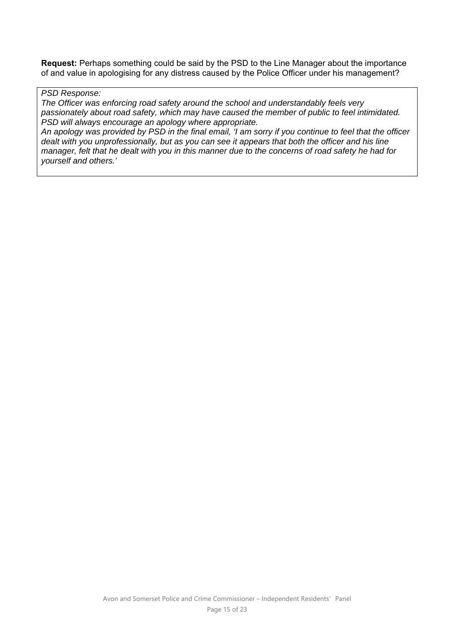**Request:** Perhaps something could be said by the PSD to the Line Manager about the importance of and value in apologising for any distress caused by the Police Officer under his management?

# *PSD Response:*

*The Officer was enforcing road safety around the school and understandably feels very passionately about road safety, which may have caused the member of public to feel intimidated. PSD will always encourage an apology where appropriate.* 

*An apology was provided by PSD in the final email, 'I am sorry if you continue to feel that the officer dealt with you unprofessionally, but as you can see it appears that both the officer and his line manager, felt that he dealt with you in this manner due to the concerns of road safety he had for yourself and others.'*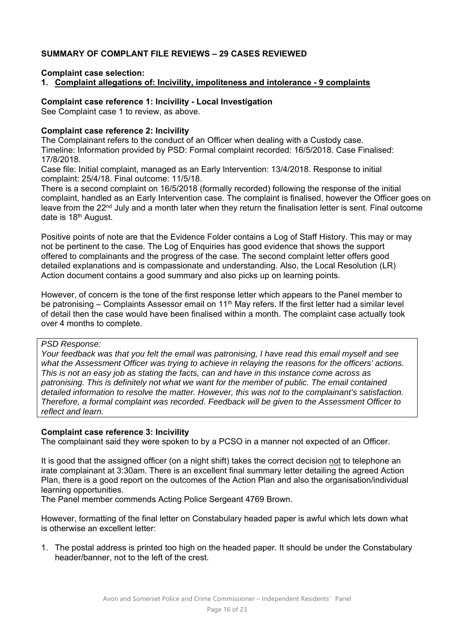# **SUMMARY OF COMPLANT FILE REVIEWS – 29 CASES REVIEWED**

**Complaint case selection:** 

**1. Complaint allegations of: Incivility, impoliteness and intolerance - 9 complaints** 

**Complaint case reference 1: Incivility - Local Investigation** 

See Complaint case 1 to review, as above.

#### **Complaint case reference 2: Incivility**

The Complainant refers to the conduct of an Officer when dealing with a Custody case. Timeline: Information provided by PSD: Formal complaint recorded: 16/5/2018. Case Finalised: 17/8/2018.

Case file: Initial complaint, managed as an Early Intervention: 13/4/2018. Response to initial complaint: 25/4/18. Final outcome: 11/5/18.

There is a second complaint on 16/5/2018 (formally recorded) following the response of the initial complaint, handled as an Early Intervention case. The complaint is finalised, however the Officer goes on leave from the 22 $<sup>nd</sup>$  July and a month later when they return the finalisation letter is sent. Final outcome</sup> date is 18<sup>th</sup> August.

Positive points of note are that the Evidence Folder contains a Log of Staff History. This may or may not be pertinent to the case. The Log of Enquiries has good evidence that shows the support offered to complainants and the progress of the case. The second complaint letter offers good detailed explanations and is compassionate and understanding. Also, the Local Resolution (LR) Action document contains a good summary and also picks up on learning points.

However, of concern is the tone of the first response letter which appears to the Panel member to be patronising  $-$  Complaints Assessor email on 11<sup>th</sup> May refers. If the first letter had a similar level of detail then the case would have been finalised within a month. The complaint case actually took over 4 months to complete.

#### *PSD Response:*

*Your feedback was that you felt the email was patronising, I have read this email myself and see what the Assessment Officer was trying to achieve in relaying the reasons for the officers' actions. This is not an easy job as stating the facts, can and have in this instance come across as patronising. This is definitely not what we want for the member of public. The email contained detailed information to resolve the matter. However, this was not to the complainant's satisfaction. Therefore, a formal complaint was recorded. Feedback will be given to the Assessment Officer to reflect and learn.* 

#### **Complaint case reference 3: Incivility**

The complainant said they were spoken to by a PCSO in a manner not expected of an Officer.

It is good that the assigned officer (on a night shift) takes the correct decision not to telephone an irate complainant at 3:30am. There is an excellent final summary letter detailing the agreed Action Plan, there is a good report on the outcomes of the Action Plan and also the organisation/individual learning opportunities.

The Panel member commends Acting Police Sergeant 4769 Brown.

However, formatting of the final letter on Constabulary headed paper is awful which lets down what is otherwise an excellent letter:

1. The postal address is printed too high on the headed paper. It should be under the Constabulary header/banner, not to the left of the crest.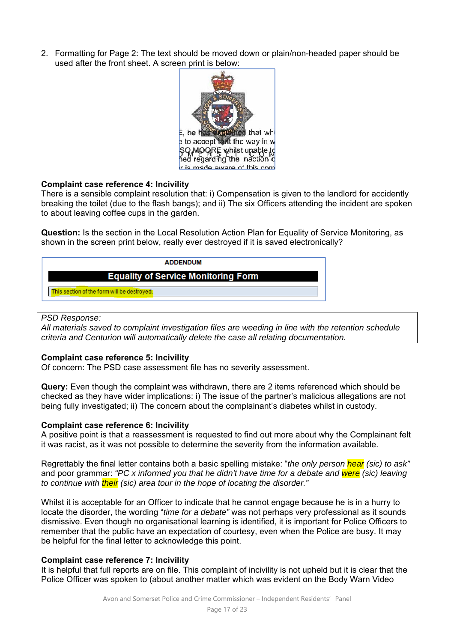2. Formatting for Page 2: The text should be moved down or plain/non-headed paper should be used after the front sheet. A screen print is below:



#### **Complaint case reference 4: Incivility**

There is a sensible complaint resolution that: i) Compensation is given to the landlord for accidently breaking the toilet (due to the flash bangs); and ii) The six Officers attending the incident are spoken to about leaving coffee cups in the garden.

**Question:** Is the section in the Local Resolution Action Plan for Equality of Service Monitoring, as shown in the screen print below, really ever destroyed if it is saved electronically?



#### *PSD Response:*

*All materials saved to complaint investigation files are weeding in line with the retention schedule criteria and Centurion will automatically delete the case all relating documentation.* 

#### **Complaint case reference 5: Incivility**

Of concern: The PSD case assessment file has no severity assessment.

**Query:** Even though the complaint was withdrawn, there are 2 items referenced which should be checked as they have wider implications: i) The issue of the partner's malicious allegations are not being fully investigated; ii) The concern about the complainant's diabetes whilst in custody.

#### **Complaint case reference 6: Incivility**

A positive point is that a reassessment is requested to find out more about why the Complainant felt it was racist, as it was not possible to determine the severity from the information available.

Regrettably the final letter contains both a basic spelling mistake: "*the only person hear (sic) to ask"*  and poor grammar: *"PC x informed you that he didn't have time for a debate and were (sic) leaving to continue with their (sic) area tour in the hope of locating the disorder."* 

Whilst it is acceptable for an Officer to indicate that he cannot engage because he is in a hurry to locate the disorder, the wording "*time for a debate"* was not perhaps very professional as it sounds dismissive. Even though no organisational learning is identified, it is important for Police Officers to remember that the public have an expectation of courtesy, even when the Police are busy. It may be helpful for the final letter to acknowledge this point.

## **Complaint case reference 7: Incivility**

It is helpful that full reports are on file. This complaint of incivility is not upheld but it is clear that the Police Officer was spoken to (about another matter which was evident on the Body Warn Video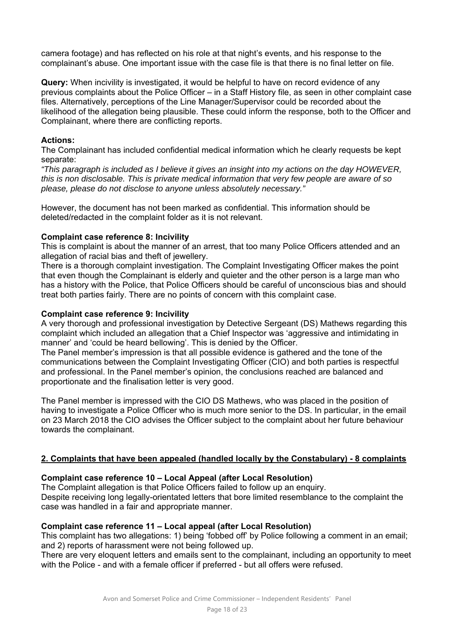camera footage) and has reflected on his role at that night's events, and his response to the complainant's abuse. One important issue with the case file is that there is no final letter on file.

**Query:** When incivility is investigated, it would be helpful to have on record evidence of any previous complaints about the Police Officer – in a Staff History file, as seen in other complaint case files. Alternatively, perceptions of the Line Manager/Supervisor could be recorded about the likelihood of the allegation being plausible. These could inform the response, both to the Officer and Complainant, where there are conflicting reports.

## **Actions:**

The Complainant has included confidential medical information which he clearly requests be kept separate:

*"This paragraph is included as I believe it gives an insight into my actions on the day HOWEVER, this is non disclosable. This is private medical information that very few people are aware of so please, please do not disclose to anyone unless absolutely necessary."* 

However, the document has not been marked as confidential. This information should be deleted/redacted in the complaint folder as it is not relevant.

#### **Complaint case reference 8: Incivility**

This is complaint is about the manner of an arrest, that too many Police Officers attended and an allegation of racial bias and theft of jewellery.

There is a thorough complaint investigation. The Complaint Investigating Officer makes the point that even though the Complainant is elderly and quieter and the other person is a large man who has a history with the Police, that Police Officers should be careful of unconscious bias and should treat both parties fairly. There are no points of concern with this complaint case.

#### **Complaint case reference 9: Incivility**

A very thorough and professional investigation by Detective Sergeant (DS) Mathews regarding this complaint which included an allegation that a Chief Inspector was 'aggressive and intimidating in manner' and 'could be heard bellowing'. This is denied by the Officer.

The Panel member's impression is that all possible evidence is gathered and the tone of the communications between the Complaint Investigating Officer (CIO) and both parties is respectful and professional. In the Panel member's opinion, the conclusions reached are balanced and proportionate and the finalisation letter is very good.

The Panel member is impressed with the CIO DS Mathews, who was placed in the position of having to investigate a Police Officer who is much more senior to the DS. In particular, in the email on 23 March 2018 the CIO advises the Officer subject to the complaint about her future behaviour towards the complainant.

## **2. Complaints that have been appealed (handled locally by the Constabulary) - 8 complaints**

#### **Complaint case reference 10 – Local Appeal (after Local Resolution)**

The Complaint allegation is that Police Officers failed to follow up an enquiry. Despite receiving long legally-orientated letters that bore limited resemblance to the complaint the case was handled in a fair and appropriate manner.

#### **Complaint case reference 11 – Local appeal (after Local Resolution)**

This complaint has two allegations: 1) being 'fobbed off' by Police following a comment in an email; and 2) reports of harassment were not being followed up.

There are very eloquent letters and emails sent to the complainant, including an opportunity to meet with the Police - and with a female officer if preferred - but all offers were refused.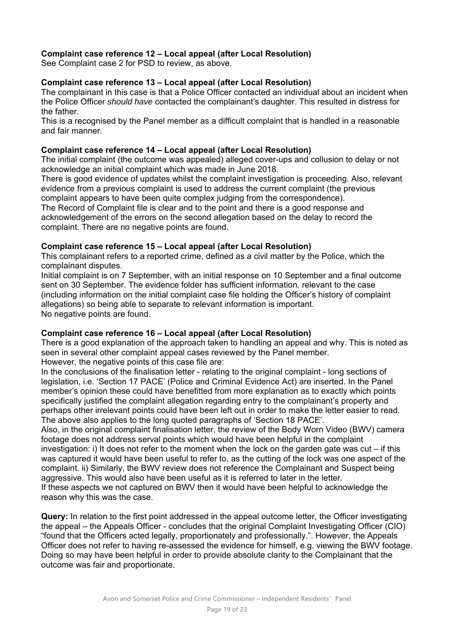# **Complaint case reference 12 – Local appeal (after Local Resolution)**

See Complaint case 2 for PSD to review, as above.

## **Complaint case reference 13 – Local appeal (after Local Resolution)**

The complainant in this case is that a Police Officer contacted an individual about an incident when the Police Officer *should have* contacted the complainant's daughter. This resulted in distress for the father.

This is a recognised by the Panel member as a difficult complaint that is handled in a reasonable and fair manner.

#### **Complaint case reference 14 – Local appeal (after Local Resolution)**

The initial complaint (the outcome was appealed) alleged cover-ups and collusion to delay or not acknowledge an initial complaint which was made in June 2018.

There is good evidence of updates whilst the complaint investigation is proceeding. Also, relevant evidence from a previous complaint is used to address the current complaint (the previous complaint appears to have been quite complex judging from the correspondence).

The Record of Complaint file is clear and to the point and there is a good response and acknowledgement of the errors on the second allegation based on the delay to record the complaint. There are no negative points are found.

## **Complaint case reference 15 – Local appeal (after Local Resolution)**

This complainant refers to a reported crime, defined as a civil matter by the Police, which the complainant disputes.

Initial complaint is on 7 September, with an initial response on 10 September and a final outcome sent on 30 September. The evidence folder has sufficient information, relevant to the case (including information on the initial complaint case file holding the Officer's history of complaint allegations) so being able to separate to relevant information is important. No negative points are found.

## **Complaint case reference 16 – Local appeal (after Local Resolution)**

There is a good explanation of the approach taken to handling an appeal and why. This is noted as seen in several other complaint appeal cases reviewed by the Panel member. However, the negative points of this case file are:

In the conclusions of the finalisation letter - relating to the original complaint - long sections of legislation, i.e. 'Section 17 PACE' (Police and Criminal Evidence Act) are inserted. In the Panel member's opinion these could have benefitted from more explanation as to exactly which points specifically justified the complaint allegation regarding entry to the complainant's property and perhaps other irrelevant points could have been left out in order to make the letter easier to read. The above also applies to the long quoted paragraphs of 'Section 18 PACE'.

Also, in the original complaint finalisation letter, the review of the Body Worn Video (BWV) camera footage does not address serval points which would have been helpful in the complaint investigation: i) It does not refer to the moment when the lock on the garden gate was cut – if this was captured it would have been useful to refer to, as the cutting of the lock was one aspect of the complaint. ii) Similarly, the BWV review does not reference the Complainant and Suspect being aggressive. This would also have been useful as it is referred to later in the letter. If these aspects we not captured on BWV then it would have been helpful to acknowledge the reason why this was the case.

**Query:** In relation to the first point addressed in the appeal outcome letter, the Officer investigating the appeal – the Appeals Officer - concludes that the original Complaint Investigating Officer (CIO) "found that the Officers acted legally, proportionately and professionally.". However, the Appeals Officer does not refer to having re-assessed the evidence for himself, e.g. viewing the BWV footage. Doing so may have been helpful in order to provide absolute clarity to the Complainant that the outcome was fair and proportionate.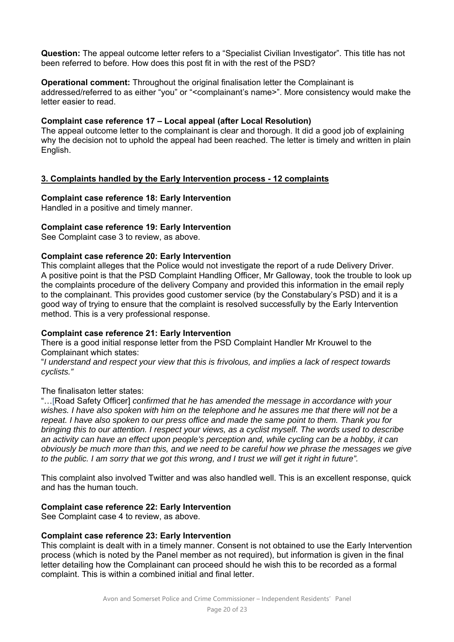**Question:** The appeal outcome letter refers to a "Specialist Civilian Investigator". This title has not been referred to before. How does this post fit in with the rest of the PSD?

**Operational comment:** Throughout the original finalisation letter the Complainant is

addressed/referred to as either "you" or "<complainant's name>". More consistency would make the letter easier to read.

# **Complaint case reference 17 – Local appeal (after Local Resolution)**

The appeal outcome letter to the complainant is clear and thorough. It did a good job of explaining why the decision not to uphold the appeal had been reached. The letter is timely and written in plain English.

# **3. Complaints handled by the Early Intervention process - 12 complaints**

## **Complaint case reference 18: Early Intervention**

Handled in a positive and timely manner.

# **Complaint case reference 19: Early Intervention**

See Complaint case 3 to review, as above.

## **Complaint case reference 20: Early Intervention**

This complaint alleges that the Police would not investigate the report of a rude Delivery Driver. A positive point is that the PSD Complaint Handling Officer, Mr Galloway, took the trouble to look up the complaints procedure of the delivery Company and provided this information in the email reply to the complainant. This provides good customer service (by the Constabulary's PSD) and it is a good way of trying to ensure that the complaint is resolved successfully by the Early Intervention method. This is a very professional response.

## **Complaint case reference 21: Early Intervention**

There is a good initial response letter from the PSD Complaint Handler Mr Krouwel to the Complainant which states:

"*I understand and respect your view that this is frivolous, and implies a lack of respect towards cyclists."* 

The finalisaton letter states:

"…[Road Safety Officer] *confirmed that he has amended the message in accordance with your wishes. I have also spoken with him on the telephone and he assures me that there will not be a repeat. I have also spoken to our press office and made the same point to them. Thank you for bringing this to our attention. I respect your views, as a cyclist myself. The words used to describe an activity can have an effect upon people's perception and, while cycling can be a hobby, it can obviously be much more than this, and we need to be careful how we phrase the messages we give to the public. I am sorry that we got this wrong, and I trust we will get it right in future".* 

This complaint also involved Twitter and was also handled well. This is an excellent response, quick and has the human touch.

## **Complaint case reference 22: Early Intervention**

See Complaint case 4 to review, as above.

# **Complaint case reference 23: Early Intervention**

This complaint is dealt with in a timely manner. Consent is not obtained to use the Early Intervention process (which is noted by the Panel member as not required), but information is given in the final letter detailing how the Complainant can proceed should he wish this to be recorded as a formal complaint. This is within a combined initial and final letter.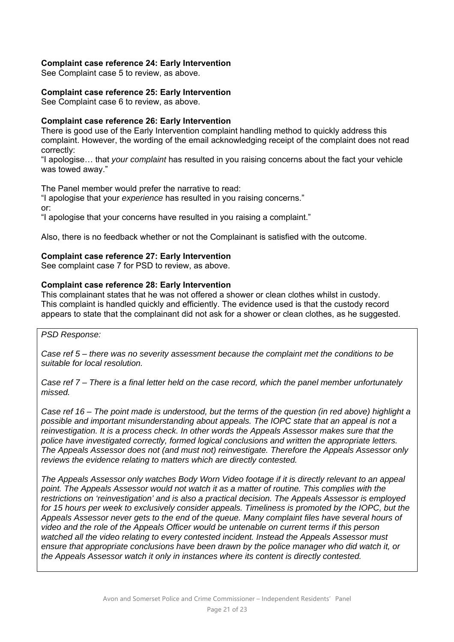## **Complaint case reference 24: Early Intervention**

See Complaint case 5 to review, as above.

# **Complaint case reference 25: Early Intervention**

See Complaint case 6 to review, as above.

# **Complaint case reference 26: Early Intervention**

There is good use of the Early Intervention complaint handling method to quickly address this complaint. However, the wording of the email acknowledging receipt of the complaint does not read correctly:

"I apologise… that *your complaint* has resulted in you raising concerns about the fact your vehicle was towed away."

The Panel member would prefer the narrative to read:

"I apologise that your *experience* has resulted in you raising concerns." or: "I apologise that your concerns have resulted in you raising a complaint."

Also, there is no feedback whether or not the Complainant is satisfied with the outcome.

## **Complaint case reference 27: Early Intervention**

See complaint case 7 for PSD to review, as above.

# **Complaint case reference 28: Early Intervention**

This complainant states that he was not offered a shower or clean clothes whilst in custody. This complaint is handled quickly and efficiently. The evidence used is that the custody record appears to state that the complainant did not ask for a shower or clean clothes, as he suggested.

*PSD Response:* 

*Case ref 5 – there was no severity assessment because the complaint met the conditions to be suitable for local resolution.* 

*Case ref 7 – There is a final letter held on the case record, which the panel member unfortunately missed.* 

*Case ref 16 – The point made is understood, but the terms of the question (in red above) highlight a possible and important misunderstanding about appeals. The IOPC state that an appeal is not a reinvestigation. It is a process check. In other words the Appeals Assessor makes sure that the police have investigated correctly, formed logical conclusions and written the appropriate letters. The Appeals Assessor does not (and must not) reinvestigate. Therefore the Appeals Assessor only reviews the evidence relating to matters which are directly contested.* 

*The Appeals Assessor only watches Body Worn Video footage if it is directly relevant to an appeal point. The Appeals Assessor would not watch it as a matter of routine. This complies with the restrictions on 'reinvestigation' and is also a practical decision. The Appeals Assessor is employed*  for 15 hours per week to exclusively consider appeals. Timeliness is promoted by the IOPC, but the *Appeals Assessor never gets to the end of the queue. Many complaint files have several hours of video and the role of the Appeals Officer would be untenable on current terms if this person watched all the video relating to every contested incident. Instead the Appeals Assessor must ensure that appropriate conclusions have been drawn by the police manager who did watch it, or the Appeals Assessor watch it only in instances where its content is directly contested.*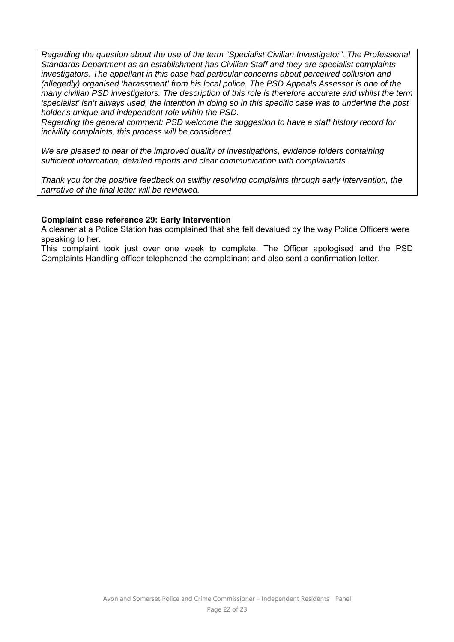*Regarding the question about the use of the term "Specialist Civilian Investigator". The Professional Standards Department as an establishment has Civilian Staff and they are specialist complaints investigators. The appellant in this case had particular concerns about perceived collusion and (allegedly) organised 'harassment' from his local police. The PSD Appeals Assessor is one of the many civilian PSD investigators. The description of this role is therefore accurate and whilst the term 'specialist' isn't always used, the intention in doing so in this specific case was to underline the post holder's unique and independent role within the PSD.* 

*Regarding the general comment: PSD welcome the suggestion to have a staff history record for incivility complaints, this process will be considered.* 

*We are pleased to hear of the improved quality of investigations, evidence folders containing sufficient information, detailed reports and clear communication with complainants.* 

*Thank you for the positive feedback on swiftly resolving complaints through early intervention, the narrative of the final letter will be reviewed.* 

#### **Complaint case reference 29: Early Intervention**

A cleaner at a Police Station has complained that she felt devalued by the way Police Officers were speaking to her.

This complaint took just over one week to complete. The Officer apologised and the PSD Complaints Handling officer telephoned the complainant and also sent a confirmation letter.